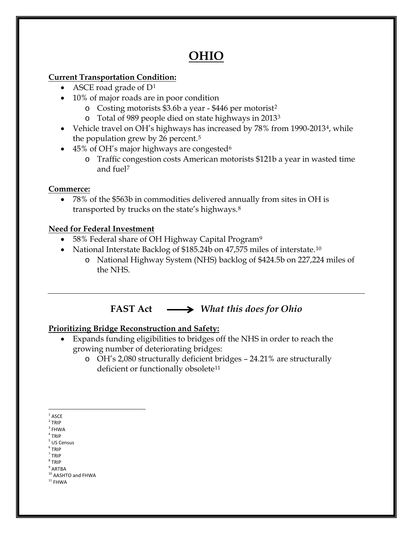# **OHIO**

### **Current Transportation Condition:**

- ASCE road grade of  $D^1$  $D^1$
- 10% of major roads are in poor condition
	- o Costing motorists \$3.6b a year \$446 per motorist[2](#page-0-1)
	- o Total of 989 people died on state highways in 2013[3](#page-0-2)
- Vehicle travel on OH's highways has increased by 78% from 1990-2013[4,](#page-0-3) while the population grew by 26 percent.[5](#page-0-4)
- 45% of OH's major highways are congested<sup>6</sup>
	- o Traffic congestion costs American motorists \$121b a year in wasted time and fuel[7](#page-0-6)

# **Commerce:**

• 78% of the \$563b in commodities delivered annually from sites in OH is transported by trucks on the state's highways.[8](#page-0-7)

### **Need for Federal Investment**

- 58% Federal share of OH Highway Capital Program<sup>[9](#page-0-8)</sup>
- National Interstate Backlog of \$185.24b on 47,575 miles of interstate.<sup>[10](#page-0-9)</sup>
	- o National Highway System (NHS) backlog of \$424.5b on 227,224 miles of the NHS.

# **FAST Act** *What this does for Ohio*

# **Prioritizing Bridge Reconstruction and Safety:**

- Expands funding eligibilities to bridges off the NHS in order to reach the growing number of deteriorating bridges:
	- o OH's 2,080 structurally deficient bridges 24.21% are structurally deficient or functionally obsolete<sup>[11](#page-0-10)</sup>

<span id="page-0-1"></span><span id="page-0-0"></span> $2$  TRIP

- <span id="page-0-3"></span> $4$  TRIP <sup>5</sup> US Census
- <span id="page-0-5"></span><span id="page-0-4"></span><sup>6</sup> TRIP
- $<sup>7</sup>$  TRIP</sup>
- <span id="page-0-8"></span><span id="page-0-7"></span><span id="page-0-6"></span> $8$  TRIP
- $9$  ARTBA
- <span id="page-0-9"></span><sup>10</sup> AASHTO and FHWA
- <span id="page-0-10"></span> $^{\rm 11}$  FHWA

 $^{\rm 1}$  ASCE

<span id="page-0-2"></span> $3$  FHWA